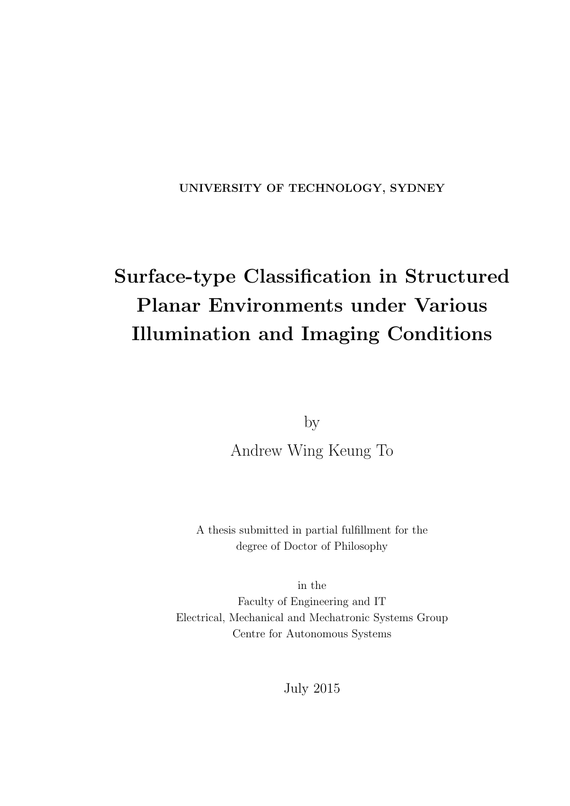**UNIVERSITY OF TECHNOLOGY, SYDNEY**

# **Surface-type Classification in Structured Planar Environments under Various Illumination and Imaging Conditions**

by

Andrew Wing Keung To

A thesis submitted in partial fulfillment for the degree of Doctor of Philosophy

in the Faculty of Engineering and IT Electrical, Mechanical and Mechatronic Systems Group Centre for Autonomous Systems

July 2015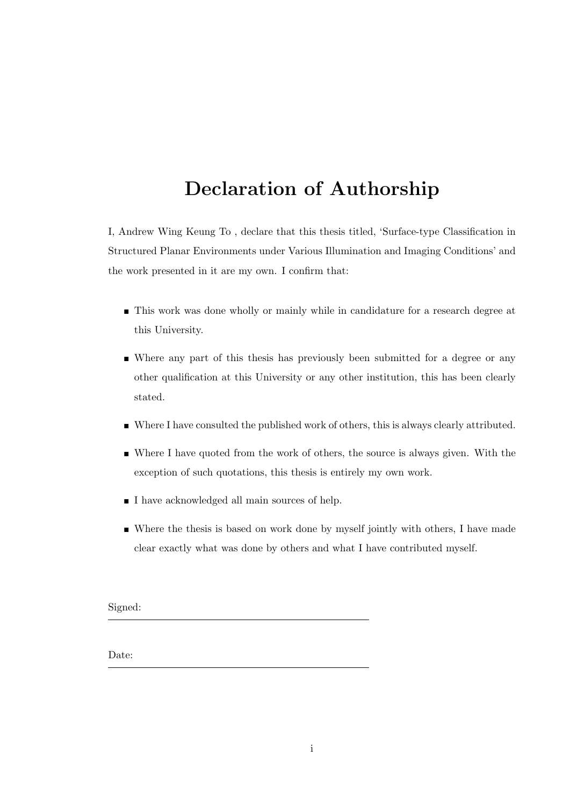#### **Declaration of Authorship**

I, Andrew Wing Keung To , declare that this thesis titled, 'Surface-type Classification in Structured Planar Environments under Various Illumination and Imaging Conditions' and the work presented in it are my own. I confirm that:

- **This work was done wholly or mainly while in candidature for a research degree at** this University.
- Where any part of this thesis has previously been submitted for a degree or any other qualification at this University or any other institution, this has been clearly stated.
- Where I have consulted the published work of others, this is always clearly attributed.
- Where I have quoted from the work of others, the source is always given. With the exception of such quotations, this thesis is entirely my own work.
- I have acknowledged all main sources of help.
- Where the thesis is based on work done by myself jointly with others, I have made clear exactly what was done by others and what I have contributed myself.

Signed:

Date: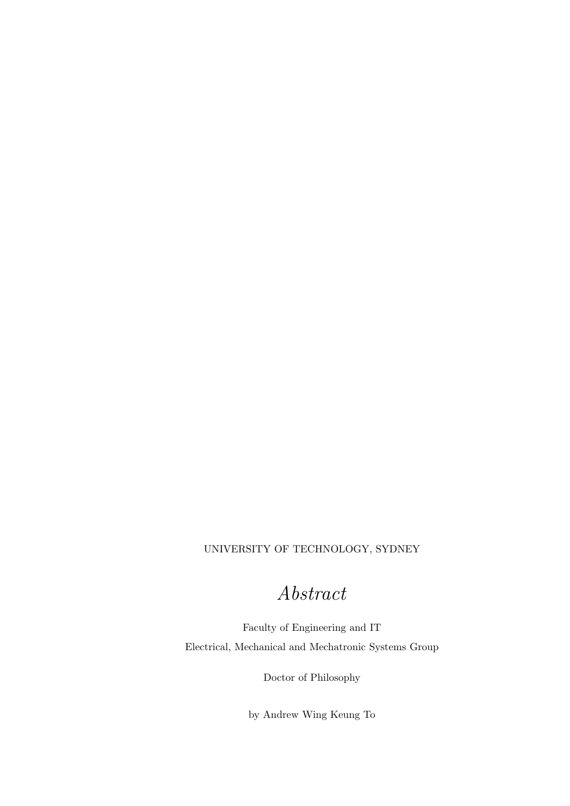#### UNIVERSITY OF TECHNOLOGY, SYDNEY

#### Abstract

Faculty of Engineering and IT Electrical, Mechanical and Mechatronic Systems Group

Doctor of Philosophy

by Andrew Wing Keung To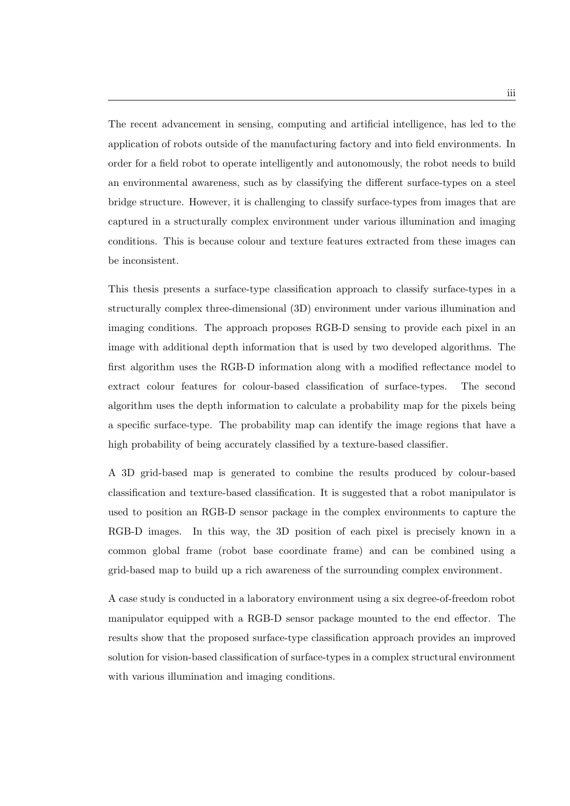The recent advancement in sensing, computing and artificial intelligence, has led to the application of robots outside of the manufacturing factory and into field environments. In order for a field robot to operate intelligently and autonomously, the robot needs to build an environmental awareness, such as by classifying the different surface-types on a steel bridge structure. However, it is challenging to classify surface-types from images that are captured in a structurally complex environment under various illumination and imaging conditions. This is because colour and texture features extracted from these images can be inconsistent.

This thesis presents a surface-type classification approach to classify surface-types in a structurally complex three-dimensional (3D) environment under various illumination and imaging conditions. The approach proposes RGB-D sensing to provide each pixel in an image with additional depth information that is used by two developed algorithms. The first algorithm uses the RGB-D information along with a modified reflectance model to extract colour features for colour-based classification of surface-types. The second algorithm uses the depth information to calculate a probability map for the pixels being a specific surface-type. The probability map can identify the image regions that have a high probability of being accurately classified by a texture-based classifier.

A 3D grid-based map is generated to combine the results produced by colour-based classification and texture-based classification. It is suggested that a robot manipulator is used to position an RGB-D sensor package in the complex environments to capture the RGB-D images. In this way, the 3D position of each pixel is precisely known in a common global frame (robot base coordinate frame) and can be combined using a grid-based map to build up a rich awareness of the surrounding complex environment.

A case study is conducted in a laboratory environment using a six degree-of-freedom robot manipulator equipped with a RGB-D sensor package mounted to the end effector. The results show that the proposed surface-type classification approach provides an improved solution for vision-based classification of surface-types in a complex structural environment with various illumination and imaging conditions.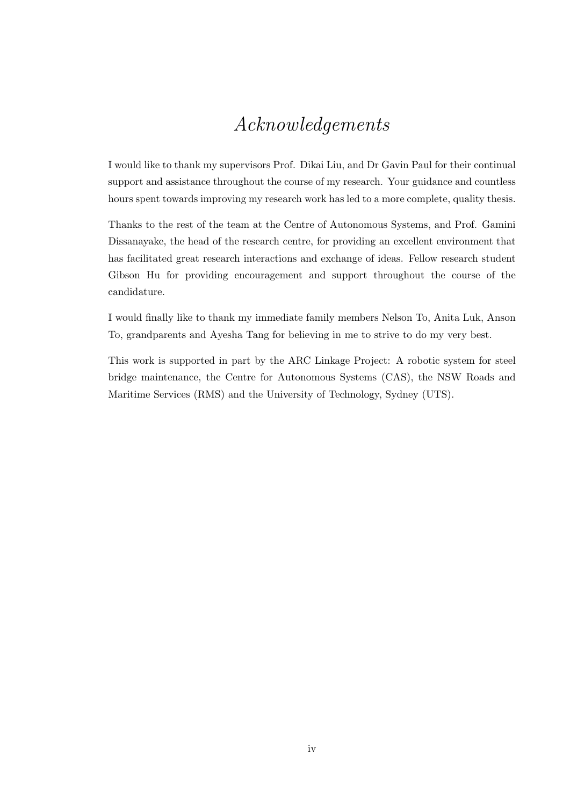#### Acknowledgements

I would like to thank my supervisors Prof. Dikai Liu, and Dr Gavin Paul for their continual support and assistance throughout the course of my research. Your guidance and countless hours spent towards improving my research work has led to a more complete, quality thesis.

Thanks to the rest of the team at the Centre of Autonomous Systems, and Prof. Gamini Dissanayake, the head of the research centre, for providing an excellent environment that has facilitated great research interactions and exchange of ideas. Fellow research student Gibson Hu for providing encouragement and support throughout the course of the candidature.

I would finally like to thank my immediate family members Nelson To, Anita Luk, Anson To, grandparents and Ayesha Tang for believing in me to strive to do my very best.

This work is supported in part by the ARC Linkage Project: A robotic system for steel bridge maintenance, the Centre for Autonomous Systems (CAS), the NSW Roads and Maritime Services (RMS) and the University of Technology, Sydney (UTS).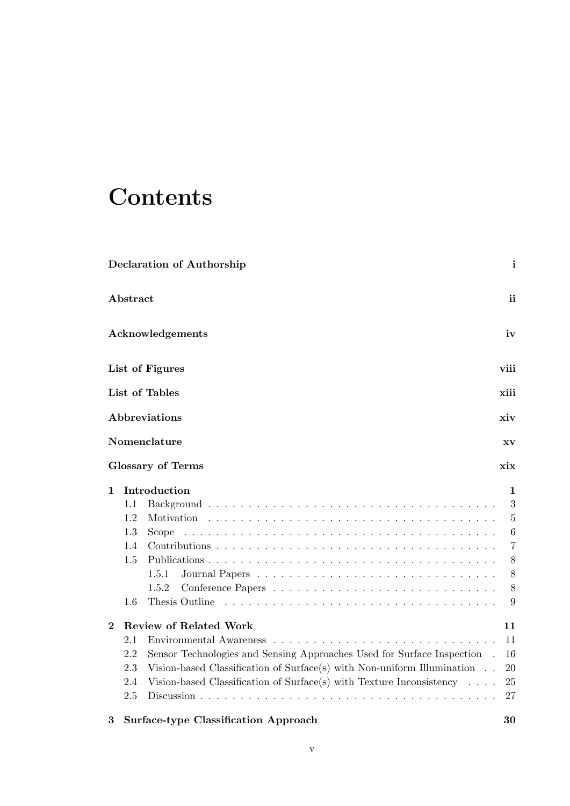## **Contents**

|          |          | <b>Declaration of Authorship</b>                                                                      | i              |
|----------|----------|-------------------------------------------------------------------------------------------------------|----------------|
|          | Abstract |                                                                                                       | ii             |
|          |          | Acknowledgements                                                                                      | iv             |
|          |          | List of Figures                                                                                       | viii           |
|          |          | List of Tables                                                                                        | xiii           |
|          |          | Abbreviations                                                                                         | xiv            |
|          |          | Nomenclature                                                                                          | XV             |
|          |          | <b>Glossary of Terms</b>                                                                              | xix            |
| 1        |          | Introduction                                                                                          | 1              |
|          | 1.1      |                                                                                                       | 3              |
|          | 1.2      | Motivation                                                                                            | $\bf 5$        |
|          | 1.3      | Scope                                                                                                 | $\,6$          |
|          | 1.4      |                                                                                                       | $\overline{7}$ |
|          | 1.5      |                                                                                                       | 8              |
|          |          | 1.5.1                                                                                                 | 8              |
|          |          | 1.5.2                                                                                                 | 8              |
|          | 1.6      | Thesis Outline                                                                                        | 9              |
| $\bf{2}$ |          | <b>Review of Related Work</b>                                                                         | 11             |
|          | 2.1      | Environmental Awareness<br>and the state of the state of the<br>and the service of the service of the | 11             |
|          | 2.2      | Sensor Technologies and Sensing Approaches Used for Surface Inspection                                | 16             |
|          | 2.3      | Vision-based Classification of Surface(s) with Non-uniform Illumination $\ldots$                      | 20             |
|          | 2.4      | Vision-based Classification of Surface(s) with Texture Inconsistency $\ldots$ .                       | 25             |
|          | 2.5      |                                                                                                       | 27             |
| 3        |          | <b>Surface-type Classification Approach</b>                                                           | 30             |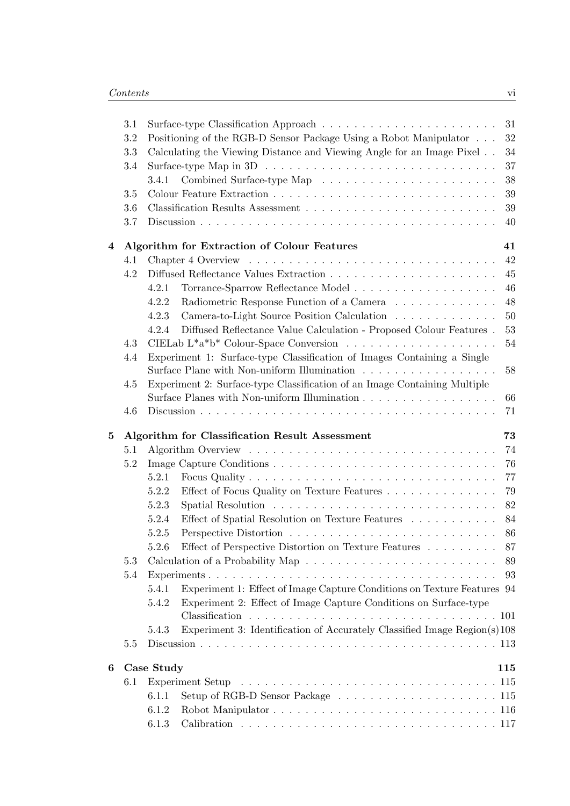|                | 3.1 |                |                                                                             |     |
|----------------|-----|----------------|-----------------------------------------------------------------------------|-----|
|                | 3.2 |                | Positioning of the RGB-D Sensor Package Using a Robot Manipulator           | 32  |
|                | 3.3 |                | Calculating the Viewing Distance and Viewing Angle for an Image Pixel       | 34  |
|                | 3.4 |                |                                                                             | 37  |
|                |     | 3.4.1          |                                                                             | 38  |
|                | 3.5 |                |                                                                             | 39  |
|                | 3.6 |                |                                                                             | 39  |
|                | 3.7 |                |                                                                             | 40  |
| $\overline{4}$ |     |                | Algorithm for Extraction of Colour Features                                 | 41  |
|                | 4.1 |                |                                                                             | 42  |
|                | 4.2 |                |                                                                             | 45  |
|                |     | 4.2.1          |                                                                             | 46  |
|                |     | 4.2.2          | Radiometric Response Function of a Camera                                   | 48  |
|                |     | 4.2.3          | Camera-to-Light Source Position Calculation                                 | 50  |
|                |     | 4.2.4          | Diffused Reflectance Value Calculation - Proposed Colour Features.          | 53  |
|                | 4.3 |                |                                                                             | 54  |
|                | 4.4 |                | Experiment 1: Surface-type Classification of Images Containing a Single     |     |
|                |     |                |                                                                             | 58  |
|                | 4.5 |                | Experiment 2: Surface-type Classification of an Image Containing Multiple   |     |
|                |     |                | Surface Planes with Non-uniform Illumination                                | 66  |
|                | 4.6 |                |                                                                             | 71  |
|                |     |                |                                                                             |     |
| $\mathbf{5}$   |     |                | Algorithm for Classification Result Assessment                              | 73  |
|                | 5.1 |                |                                                                             | 74  |
|                | 5.2 |                |                                                                             | 76  |
|                |     | 5.2.1          |                                                                             | 77  |
|                |     | 5.2.2          | Effect of Focus Quality on Texture Features                                 | 79  |
|                |     | 5.2.3          |                                                                             | 82  |
|                |     | 5.2.4          | Effect of Spatial Resolution on Texture Features                            | 84  |
|                |     | 5.2.5          |                                                                             |     |
|                |     | 5.2.6          | Effect of Perspective Distortion on Texture Features $\ldots \ldots \ldots$ | 87  |
|                | 5.3 |                |                                                                             | 89  |
|                | 5.4 |                |                                                                             | 93  |
|                |     | 5.4.1          | Experiment 1: Effect of Image Capture Conditions on Texture Features 94     |     |
|                |     | 5.4.2          | Experiment 2: Effect of Image Capture Conditions on Surface-type            |     |
|                |     |                |                                                                             |     |
|                |     | 5.4.3          | Experiment 3: Identification of Accurately Classified Image Region(s)108    |     |
|                | 5.5 |                |                                                                             |     |
| 6              |     | Case Study     |                                                                             | 115 |
|                | 6.1 |                |                                                                             |     |
|                |     | 6.1.1          |                                                                             |     |
|                |     | 6.1.2<br>6.1.3 |                                                                             |     |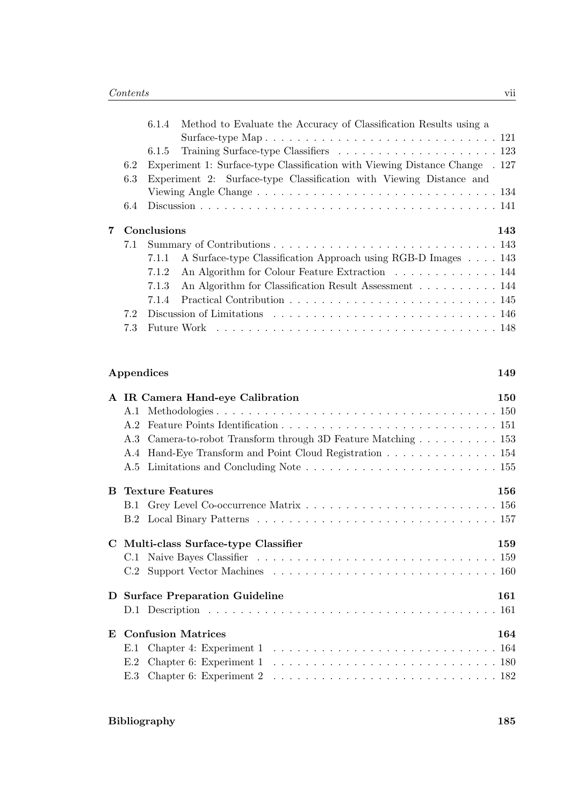|   |     | Method to Evaluate the Accuracy of Classification Results using a<br>6.1.4                              |     |
|---|-----|---------------------------------------------------------------------------------------------------------|-----|
|   |     |                                                                                                         |     |
|   |     |                                                                                                         |     |
|   | 6.2 | Experiment 1: Surface-type Classification with Viewing Distance Change . 127                            |     |
|   | 6.3 | Experiment 2: Surface-type Classification with Viewing Distance and                                     |     |
|   |     | Viewing Angle Change $\ldots \ldots \ldots \ldots \ldots \ldots \ldots \ldots \ldots \ldots \ldots 134$ |     |
|   | 6.4 |                                                                                                         |     |
|   |     |                                                                                                         |     |
| 7 |     |                                                                                                         |     |
|   |     | Conclusions                                                                                             | 143 |
|   | 7.1 |                                                                                                         |     |
|   |     | A Surface-type Classification Approach using RGB-D Images 143<br>7.1.1                                  |     |
|   |     | An Algorithm for Colour Feature Extraction 144<br>7.1.2                                                 |     |
|   |     | An Algorithm for Classification Result Assessment 144<br>7.1.3                                          |     |
|   |     | 7.1.4                                                                                                   |     |
|   | 7.2 |                                                                                                         |     |

#### **Appendices 149**

|              | A IR Camera Hand-eye Calibration                              | <b>150</b> |
|--------------|---------------------------------------------------------------|------------|
|              |                                                               |            |
|              |                                                               |            |
|              | A.3 Camera-to-robot Transform through 3D Feature Matching 153 |            |
|              | A.4 Hand-Eye Transform and Point Cloud Registration 154       |            |
|              |                                                               |            |
|              | <b>B</b> Texture Features                                     | 156        |
|              |                                                               |            |
|              |                                                               |            |
|              | C Multi-class Surface-type Classifier                         | 159        |
|              |                                                               |            |
|              |                                                               |            |
|              | D Surface Preparation Guideline                               | 161        |
|              |                                                               |            |
| $\mathbf{E}$ | <b>Confusion Matrices</b>                                     | 164        |
|              |                                                               |            |
|              |                                                               |            |
|              |                                                               |            |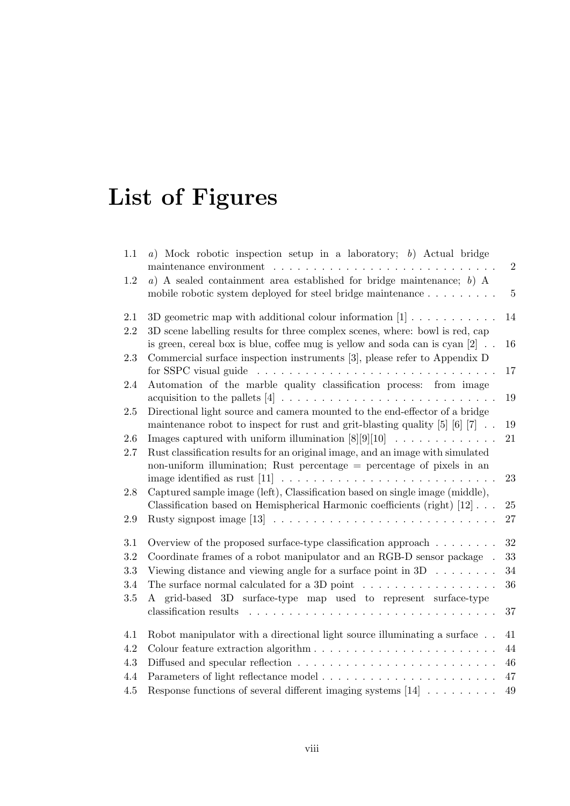# **List of Figures**

| 1.1     | a) Mock robotic inspection setup in a laboratory; b) Actual bridge                                                                                                 | $\overline{2}$ |
|---------|--------------------------------------------------------------------------------------------------------------------------------------------------------------------|----------------|
| $1.2\,$ | $a)$ A sealed containment area established for bridge maintenance; $b)$ A                                                                                          |                |
|         | mobile robotic system deployed for steel bridge maintenance                                                                                                        | $\overline{5}$ |
| 2.1     | 3D geometric map with additional colour information $[1]$                                                                                                          | 14             |
| 2.2     | 3D scene labelling results for three complex scenes, where: bowl is red, cap<br>is green, cereal box is blue, coffee mug is yellow and soda can is cyan $[2]$ .    | 16             |
| 2.3     | Commercial surface inspection instruments [3], please refer to Appendix D<br>for SSPC visual guide                                                                 | 17             |
| 2.4     | Automation of the marble quality classification process: from image                                                                                                | 19             |
| 2.5     | Directional light source and camera mounted to the end-effector of a bridge<br>maintenance robot to inspect for rust and grit-blasting quality $[5]$ $[6]$ $[7]$ . | 19             |
| 2.6     | Images captured with uniform illumination $[8][9][10]$                                                                                                             | 21             |
| 2.7     | Rust classification results for an original image, and an image with simulated<br>non-uniform illumination; Rust percentage $=$ percentage of pixels in an         |                |
|         |                                                                                                                                                                    | 23             |
| $2.8\,$ | Captured sample image (left), Classification based on single image (middle),                                                                                       |                |
|         | Classification based on Hemispherical Harmonic coefficients (right) [12]                                                                                           | 25             |
| 2.9     |                                                                                                                                                                    | 27             |
| 3.1     | Overview of the proposed surface-type classification approach $\dots \dots$                                                                                        | 32             |
| $3.2\,$ | Coordinate frames of a robot manipulator and an RGB-D sensor package .                                                                                             | 33             |
| 3.3     | Viewing distance and viewing angle for a surface point in $3D \ldots \ldots$                                                                                       | 34             |
| 3.4     | The surface normal calculated for a 3D point $\dots \dots \dots \dots \dots \dots$                                                                                 | 36             |
| $3.5\,$ | grid-based 3D surface-type map used to represent surface-type<br>A                                                                                                 | 37             |
| 4.1     | Robot manipulator with a directional light source illuminating a surface                                                                                           | 41             |
| $4.2\,$ |                                                                                                                                                                    | 44             |
| $4.3\,$ |                                                                                                                                                                    | 46             |
| 4.4     |                                                                                                                                                                    | 47             |
| 4.5     | Response functions of several different imaging systems $[14]$                                                                                                     | 49             |
|         |                                                                                                                                                                    |                |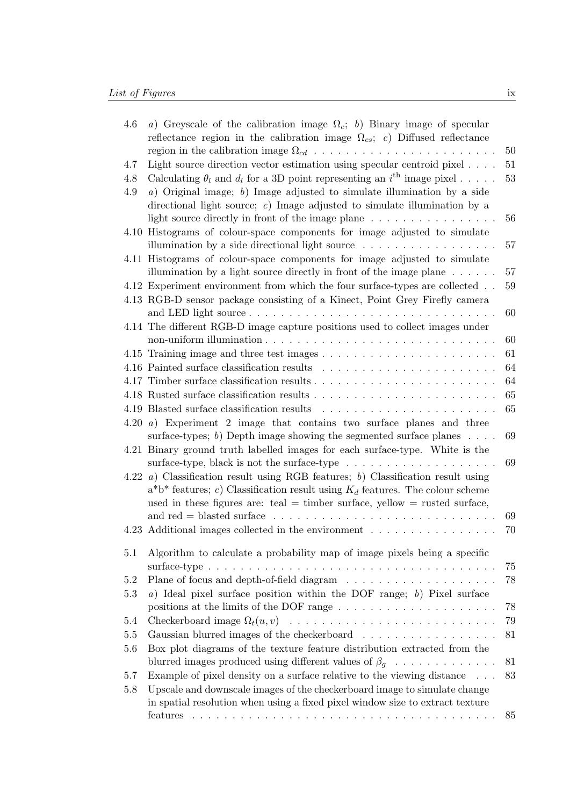| 4.6  | a) Greyscale of the calibration image $\Omega_c$ ; b) Binary image of specular<br>reflectance region in the calibration image $\Omega_{cs}$ ; c) Diffused reflectance                                                                            |    |
|------|--------------------------------------------------------------------------------------------------------------------------------------------------------------------------------------------------------------------------------------------------|----|
|      |                                                                                                                                                                                                                                                  | 50 |
| 4.7  | Light source direction vector estimation using specular centroid pixel                                                                                                                                                                           | 51 |
| 4.8  | Calculating $\theta_l$ and $d_l$ for a 3D point representing an i <sup>th</sup> image pixel                                                                                                                                                      | 53 |
| 4.9  | a) Original image; b) Image adjusted to simulate illumination by a side                                                                                                                                                                          |    |
|      | directional light source; $c$ ) Image adjusted to simulate illumination by a                                                                                                                                                                     |    |
|      | light source directly in front of the image plane $\dots \dots \dots \dots \dots$                                                                                                                                                                | 56 |
| 4.10 | Histograms of colour-space components for image adjusted to simulate<br>illumination by a side directional light source $\dots \dots \dots \dots \dots \dots$                                                                                    | 57 |
|      | 4.11 Histograms of colour-space components for image adjusted to simulate<br>illumination by a light source directly in front of the image plane $\dots \dots$                                                                                   | 57 |
|      | 4.12 Experiment environment from which the four surface-types are collected                                                                                                                                                                      | 59 |
|      | 4.13 RGB-D sensor package consisting of a Kinect, Point Grey Firefly camera                                                                                                                                                                      |    |
|      |                                                                                                                                                                                                                                                  | 60 |
|      | 4.14 The different RGB-D image capture positions used to collect images under                                                                                                                                                                    |    |
|      |                                                                                                                                                                                                                                                  | 60 |
|      |                                                                                                                                                                                                                                                  | 61 |
|      |                                                                                                                                                                                                                                                  | 64 |
|      |                                                                                                                                                                                                                                                  | 64 |
|      |                                                                                                                                                                                                                                                  | 65 |
|      | 4.19 Blasted surface classification results                                                                                                                                                                                                      | 65 |
| 4.20 | a) Experiment 2 image that contains two surface planes and three                                                                                                                                                                                 |    |
|      | surface-types; b) Depth image showing the segmented surface planes $\ldots$ .                                                                                                                                                                    | 69 |
|      | 4.21 Binary ground truth labelled images for each surface-type. White is the<br>surface-type, black is not the surface-type $\dots \dots \dots \dots \dots \dots \dots$                                                                          | 69 |
| 4.22 | a) Classification result using RGB features; b) Classification result using<br>$a^*b^*$ features; c) Classification result using $K_d$ features. The colour scheme<br>used in these figures are: teal = timber surface, yellow = rusted surface, |    |
|      |                                                                                                                                                                                                                                                  | 69 |
|      | 4.23 Additional images collected in the environment                                                                                                                                                                                              | 70 |
|      |                                                                                                                                                                                                                                                  |    |
| 5.1  | Algorithm to calculate a probability map of image pixels being a specific<br>surface-type $\ldots \ldots \ldots \ldots \ldots \ldots \ldots \ldots \ldots \ldots \ldots \ldots \ldots$                                                           | 75 |
| 5.2  |                                                                                                                                                                                                                                                  | 78 |
| 5.3  | $a)$ Ideal pixel surface position within the DOF range; $b)$ Pixel surface                                                                                                                                                                       |    |
|      |                                                                                                                                                                                                                                                  | 78 |
| 5.4  |                                                                                                                                                                                                                                                  | 79 |
| 5.5  | Gaussian blurred images of the checkerboard                                                                                                                                                                                                      | 81 |
| 5.6  | Box plot diagrams of the texture feature distribution extracted from the                                                                                                                                                                         |    |
|      | blurred images produced using different values of $\beta_g \dots \dots \dots \dots$                                                                                                                                                              | 81 |
| 5.7  | Example of pixel density on a surface relative to the viewing distance $\ldots$                                                                                                                                                                  | 83 |
| 5.8  | Upscale and downscale images of the checkerboard image to simulate change                                                                                                                                                                        |    |
|      | in spatial resolution when using a fixed pixel window size to extract texture                                                                                                                                                                    |    |
|      |                                                                                                                                                                                                                                                  | 85 |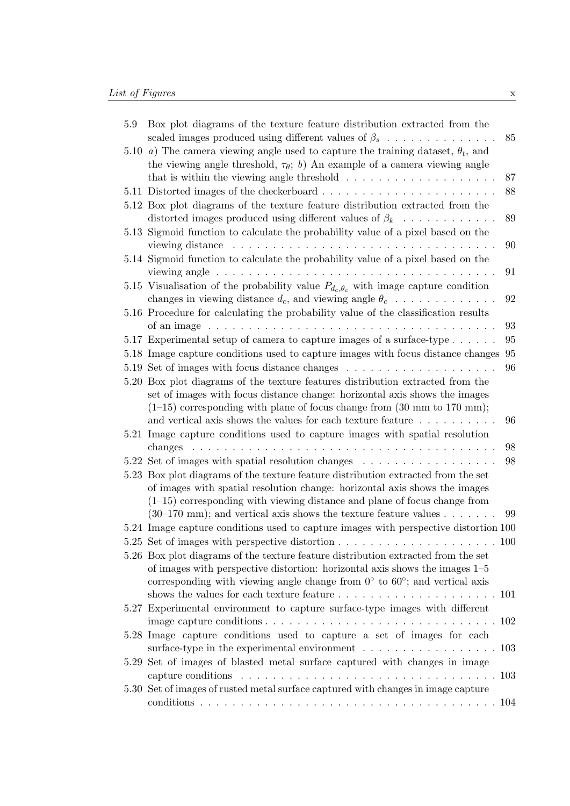| 5.9  | Box plot diagrams of the texture feature distribution extracted from the<br>scaled images produced using different values of $\beta_s$                                                                                                                                                                                       | 85 |
|------|------------------------------------------------------------------------------------------------------------------------------------------------------------------------------------------------------------------------------------------------------------------------------------------------------------------------------|----|
| 5.10 | a) The camera viewing angle used to capture the training dataset, $\theta_t$ , and<br>the viewing angle threshold, $\tau_{\theta}$ ; b) An example of a camera viewing angle                                                                                                                                                 |    |
|      | that is within the viewing angle threshold $\ldots \ldots \ldots \ldots \ldots \ldots$                                                                                                                                                                                                                                       | 87 |
|      |                                                                                                                                                                                                                                                                                                                              | 88 |
|      | 5.12 Box plot diagrams of the texture feature distribution extracted from the<br>distorted images produced using different values of $\beta_k$                                                                                                                                                                               | 89 |
|      | 5.13 Sigmoid function to calculate the probability value of a pixel based on the<br>viewing distance                                                                                                                                                                                                                         | 90 |
|      | 5.14 Sigmoid function to calculate the probability value of a pixel based on the<br>viewing angle $\ldots \ldots \ldots \ldots \ldots \ldots \ldots \ldots \ldots$                                                                                                                                                           | 91 |
|      | 5.15 Visualisation of the probability value $P_{d_c, \theta_c}$ with image capture condition                                                                                                                                                                                                                                 |    |
|      | changes in viewing distance $d_c$ , and viewing angle $\theta_c$                                                                                                                                                                                                                                                             | 92 |
|      | 5.16 Procedure for calculating the probability value of the classification results                                                                                                                                                                                                                                           |    |
|      |                                                                                                                                                                                                                                                                                                                              | 93 |
|      | 5.17 Experimental setup of camera to capture images of a surface-type $\dots$                                                                                                                                                                                                                                                | 95 |
|      | 5.18 Image capture conditions used to capture images with focus distance changes                                                                                                                                                                                                                                             | 95 |
|      | 5.19 Set of images with focus distance changes $\dots \dots \dots \dots \dots \dots \dots$                                                                                                                                                                                                                                   | 96 |
|      | 5.20 Box plot diagrams of the texture features distribution extracted from the                                                                                                                                                                                                                                               |    |
|      | set of images with focus distance change: horizontal axis shows the images                                                                                                                                                                                                                                                   |    |
|      | $(1-15)$ corresponding with plane of focus change from $(30 \text{ mm to } 170 \text{ mm});$                                                                                                                                                                                                                                 |    |
|      | and vertical axis shows the values for each texture feature $\dots \dots \dots$                                                                                                                                                                                                                                              | 96 |
|      | 5.21 Image capture conditions used to capture images with spatial resolution                                                                                                                                                                                                                                                 |    |
|      | <u>. A series a series a series a series a series a series a series a series a series a series a series a se</u><br>changes                                                                                                                                                                                                  | 98 |
|      |                                                                                                                                                                                                                                                                                                                              | 98 |
|      | 5.23 Box plot diagrams of the texture feature distribution extracted from the set<br>of images with spatial resolution change: horizontal axis shows the images<br>$(1-15)$ corresponding with viewing distance and plane of focus change from<br>$(30-170 \text{ mm})$ ; and vertical axis shows the texture feature values | 99 |
|      | 5.24 Image capture conditions used to capture images with perspective distortion 100                                                                                                                                                                                                                                         |    |
|      |                                                                                                                                                                                                                                                                                                                              |    |
|      | 5.26 Box plot diagrams of the texture feature distribution extracted from the set<br>of images with perspective distortion: horizontal axis shows the images $1-5$                                                                                                                                                           |    |
|      | corresponding with viewing angle change from $0^{\circ}$ to $60^{\circ}$ ; and vertical axis                                                                                                                                                                                                                                 |    |
|      |                                                                                                                                                                                                                                                                                                                              |    |
|      | 5.27 Experimental environment to capture surface-type images with different                                                                                                                                                                                                                                                  |    |
|      |                                                                                                                                                                                                                                                                                                                              |    |
|      | 5.28 Image capture conditions used to capture a set of images for each                                                                                                                                                                                                                                                       |    |
|      |                                                                                                                                                                                                                                                                                                                              |    |
|      | 5.29 Set of images of blasted metal surface captured with changes in image<br>capture conditions $\ldots \ldots \ldots \ldots \ldots \ldots \ldots \ldots \ldots \ldots \ldots$                                                                                                                                              |    |
|      | 5.30 Set of images of rusted metal surface captured with changes in image capture                                                                                                                                                                                                                                            |    |
|      |                                                                                                                                                                                                                                                                                                                              |    |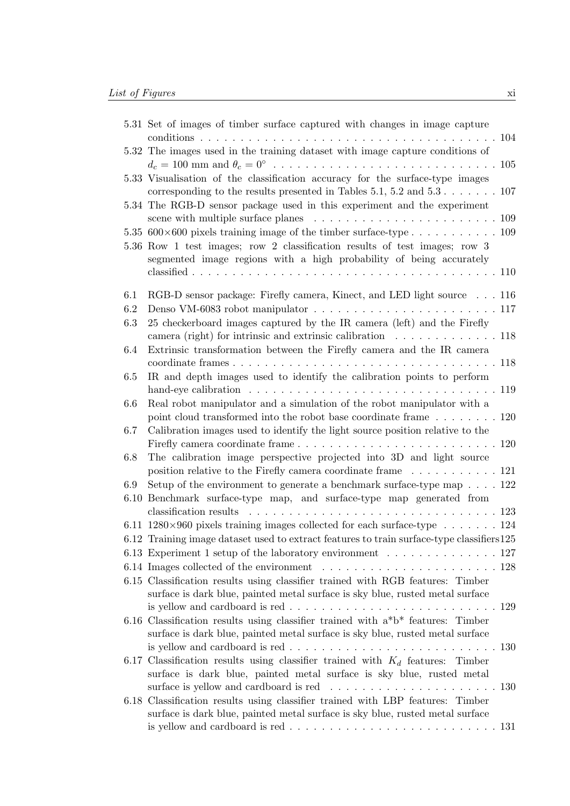|      | 5.31 Set of images of timber surface captured with changes in image capture                                                                                                     |  |
|------|---------------------------------------------------------------------------------------------------------------------------------------------------------------------------------|--|
|      | 5.32 The images used in the training dataset with image capture conditions of                                                                                                   |  |
|      |                                                                                                                                                                                 |  |
|      | 5.33 Visualisation of the classification accuracy for the surface-type images<br>corresponding to the results presented in Tables $5.1, 5.2$ and $5.3 \ldots \ldots \ldots 107$ |  |
|      | 5.34 The RGB-D sensor package used in this experiment and the experiment                                                                                                        |  |
|      | 5.35 600 $\times$ 600 pixels training image of the timber surface-type 109                                                                                                      |  |
|      | 5.36 Row 1 test images; row 2 classification results of test images; row 3<br>segmented image regions with a high probability of being accurately                               |  |
|      |                                                                                                                                                                                 |  |
| 6.1  | RGB-D sensor package: Firefly camera, Kinect, and LED light source 116                                                                                                          |  |
| 6.2  |                                                                                                                                                                                 |  |
| 6.3  | 25 checkerboard images captured by the IR camera (left) and the Firefly                                                                                                         |  |
|      | camera (right) for intrinsic and extrinsic calibration $\dots \dots \dots \dots \dots \dots$                                                                                    |  |
| 6.4  | Extrinsic transformation between the Firefly camera and the IR camera                                                                                                           |  |
|      |                                                                                                                                                                                 |  |
| 6.5  | IR and depth images used to identify the calibration points to perform                                                                                                          |  |
|      |                                                                                                                                                                                 |  |
| 6.6  | Real robot manipulator and a simulation of the robot manipulator with a                                                                                                         |  |
|      | point cloud transformed into the robot base coordinate frame $\dots \dots \dots 120$                                                                                            |  |
| 6.7  | Calibration images used to identify the light source position relative to the                                                                                                   |  |
| 6.8  | The calibration image perspective projected into 3D and light source                                                                                                            |  |
|      | position relative to the Firefly camera coordinate frame 121                                                                                                                    |  |
| 6.9  | Setup of the environment to generate a benchmark surface-type map $\ldots$ . 122                                                                                                |  |
| 6.10 | Benchmark surface-type map, and surface-type map generated from                                                                                                                 |  |
|      | classification results $\ldots \ldots \ldots \ldots \ldots \ldots \ldots \ldots \ldots \ldots \ldots 123$                                                                       |  |
|      | 6.11 1280 $\times$ 960 pixels training images collected for each surface-type 124                                                                                               |  |
|      | 6.12 Training image dataset used to extract features to train surface-type classifiers 125                                                                                      |  |
|      | 6.13 Experiment 1 setup of the laboratory environment $\dots \dots \dots \dots \dots \dots 127$                                                                                 |  |
|      |                                                                                                                                                                                 |  |
|      | 6.15 Classification results using classifier trained with RGB features: Timber                                                                                                  |  |
|      | surface is dark blue, painted metal surface is sky blue, rusted metal surface                                                                                                   |  |
|      |                                                                                                                                                                                 |  |
|      | 6.16 Classification results using classifier trained with $a^*b^*$ features: Timber                                                                                             |  |
|      | surface is dark blue, painted metal surface is sky blue, rusted metal surface                                                                                                   |  |
|      | is yellow and cardboard is red $\ldots \ldots \ldots \ldots \ldots \ldots \ldots \ldots \ldots 130$                                                                             |  |
|      | 6.17 Classification results using classifier trained with $K_d$ features: Timber                                                                                                |  |
|      | surface is dark blue, painted metal surface is sky blue, rusted metal                                                                                                           |  |
|      |                                                                                                                                                                                 |  |
|      | 6.18 Classification results using classifier trained with LBP features: Timber<br>surface is dark blue, painted metal surface is sky blue, rusted metal surface                 |  |
|      | is yellow and cardboard is red $\ldots \ldots \ldots \ldots \ldots \ldots \ldots \ldots \ldots 131$                                                                             |  |
|      |                                                                                                                                                                                 |  |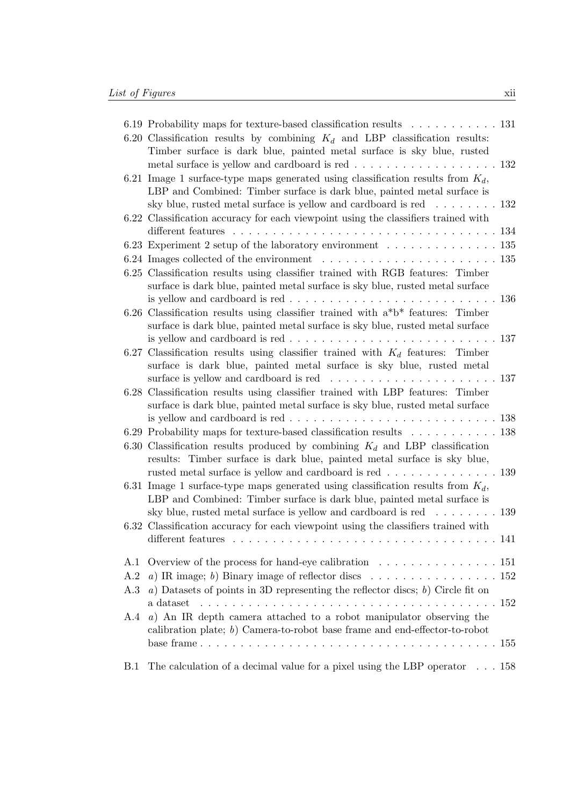|     | 6.19 Probability maps for texture-based classification results 131                                                                                                                                                                                     |     |
|-----|--------------------------------------------------------------------------------------------------------------------------------------------------------------------------------------------------------------------------------------------------------|-----|
|     | 6.20 Classification results by combining $K_d$ and LBP classification results:<br>Timber surface is dark blue, painted metal surface is sky blue, rusted<br>metal surface is yellow and cardboard is red 132                                           |     |
|     | 6.21 Image 1 surface-type maps generated using classification results from $K_d$ ,<br>LBP and Combined: Timber surface is dark blue, painted metal surface is<br>sky blue, rusted metal surface is yellow and cardboard is red $\dots \dots \dots 132$ |     |
|     | 6.22 Classification accuracy for each viewpoint using the classifiers trained with                                                                                                                                                                     |     |
|     | 6.23 Experiment 2 setup of the laboratory environment 135                                                                                                                                                                                              |     |
|     | 6.24 Images collected of the environment $\ldots \ldots \ldots \ldots \ldots \ldots \ldots 135$                                                                                                                                                        |     |
|     | 6.25 Classification results using classifier trained with RGB features: Timber<br>surface is dark blue, painted metal surface is sky blue, rusted metal surface                                                                                        |     |
|     | is yellow and cardboard is red $\ldots \ldots \ldots \ldots \ldots \ldots \ldots \ldots \ldots \ldots 136$                                                                                                                                             |     |
|     | 6.26 Classification results using classifier trained with $a^*b^*$ features: Timber<br>surface is dark blue, painted metal surface is sky blue, rusted metal surface                                                                                   |     |
|     | is yellow and cardboard is red $\ldots \ldots \ldots \ldots \ldots \ldots \ldots \ldots \ldots 137$                                                                                                                                                    |     |
|     | 6.27 Classification results using classifier trained with $K_d$ features: Timber<br>surface is dark blue, painted metal surface is sky blue, rusted metal                                                                                              |     |
|     | 6.28 Classification results using classifier trained with LBP features: Timber                                                                                                                                                                         |     |
|     | surface is dark blue, painted metal surface is sky blue, rusted metal surface<br>is yellow and cardboard is red $\ldots \ldots \ldots \ldots \ldots \ldots \ldots \ldots \ldots 138$                                                                   |     |
|     | 6.29 Probability maps for texture-based classification results 138                                                                                                                                                                                     |     |
|     | 6.30 Classification results produced by combining $K_d$ and LBP classification<br>results: Timber surface is dark blue, painted metal surface is sky blue,                                                                                             |     |
|     | rusted metal surface is yellow and cardboard is red 139<br>6.31 Image 1 surface-type maps generated using classification results from $K_d$ ,                                                                                                          |     |
|     | LBP and Combined: Timber surface is dark blue, painted metal surface is                                                                                                                                                                                |     |
|     | sky blue, rusted metal surface is yellow and cardboard is red 139<br>6.32 Classification accuracy for each viewpoint using the classifiers trained with                                                                                                |     |
|     |                                                                                                                                                                                                                                                        |     |
| A.1 | Overview of the process for hand-eye calibration $\ldots \ldots \ldots \ldots \ldots 151$                                                                                                                                                              |     |
| A.2 | a) IR image; b) Binary image of reflector discs $\dots \dots \dots \dots \dots \dots \dots \dots \dots \dots 152$                                                                                                                                      |     |
| A.3 | $a)$ Datasets of points in 3D representing the reflector discs; $b)$ Circle fit on<br>a dataset                                                                                                                                                        |     |
| A.4 | $a)$ An IR depth camera attached to a robot manipulator observing the                                                                                                                                                                                  |     |
|     | calibration plate; $b$ ) Camera-to-robot base frame and end-effector-to-robot                                                                                                                                                                          | 155 |
| B.1 | The calculation of a decimal value for a pixel using the LBP operator $\ldots$ 158                                                                                                                                                                     |     |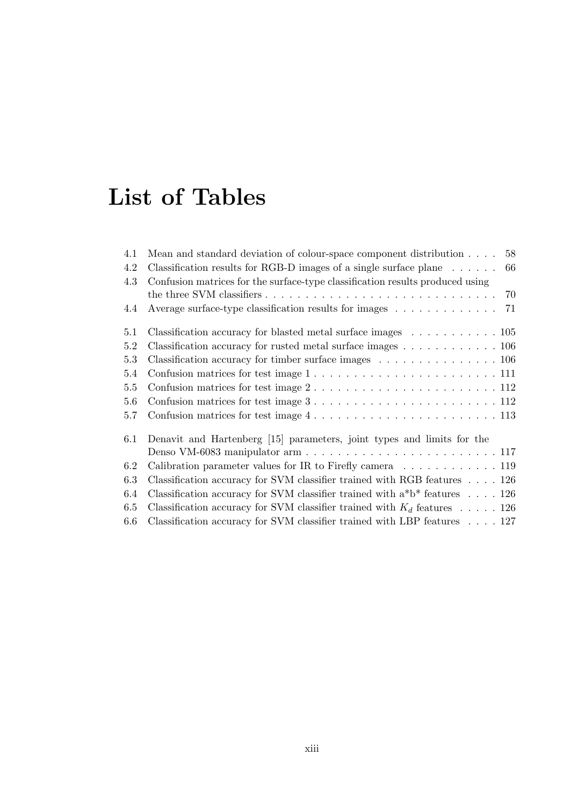## **List of Tables**

| 4.1 | 58<br>Mean and standard deviation of colour-space component distribution                          |
|-----|---------------------------------------------------------------------------------------------------|
| 4.2 | Classification results for RGB-D images of a single surface plane $\dots \dots$<br>66             |
| 4.3 | Confusion matrices for the surface-type classification results produced using                     |
|     |                                                                                                   |
| 4.4 | Average surface-type classification results for images<br>71                                      |
| 5.1 | Classification accuracy for blasted metal surface images $\dots \dots \dots \dots \dots$          |
| 5.2 | Classification accuracy for rusted metal surface images 106                                       |
| 5.3 | Classification accuracy for timber surface images $\ldots \ldots \ldots \ldots \ldots 106$        |
| 5.4 | Confusion matrices for test image $1, \ldots, \ldots, \ldots, \ldots, \ldots, \ldots, 111$        |
| 5.5 | Confusion matrices for test image $2 \ldots \ldots \ldots \ldots \ldots \ldots \ldots \ldots 112$ |
| 5.6 | Confusion matrices for test image $3 \ldots \ldots \ldots \ldots \ldots \ldots \ldots \ldots 112$ |
| 5.7 | Confusion matrices for test image $4 \ldots \ldots \ldots \ldots \ldots \ldots \ldots \ldots 113$ |
| 6.1 | Denavit and Hartenberg [15] parameters, joint types and limits for the                            |
|     |                                                                                                   |
| 6.2 | Calibration parameter values for IR to Firefly camera $\dots \dots \dots \dots \dots$             |
| 6.3 | Classification accuracy for SVM classifier trained with RGB features 126                          |
| 6.4 | Classification accuracy for SVM classifier trained with $a^*b^*$ features 126                     |
| 6.5 | Classification accuracy for SVM classifier trained with $K_d$ features 126                        |
| 6.6 | Classification accuracy for SVM classifier trained with LBP features 127                          |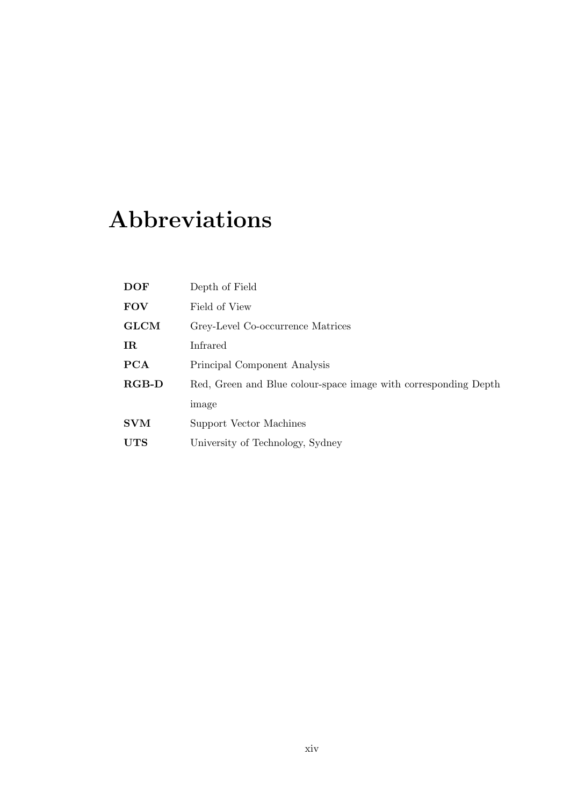## **Abbreviations**

| <b>DOF</b>  | Depth of Field                                                  |
|-------------|-----------------------------------------------------------------|
| <b>FOV</b>  | Field of View                                                   |
| <b>GLCM</b> | Grey-Level Co-occurrence Matrices                               |
| IR          | Infrared                                                        |
| PCA         | Principal Component Analysis                                    |
| $RGB-D$     | Red, Green and Blue colour-space image with corresponding Depth |
|             | image                                                           |
| <b>SVM</b>  | Support Vector Machines                                         |
| UTS         | University of Technology, Sydney                                |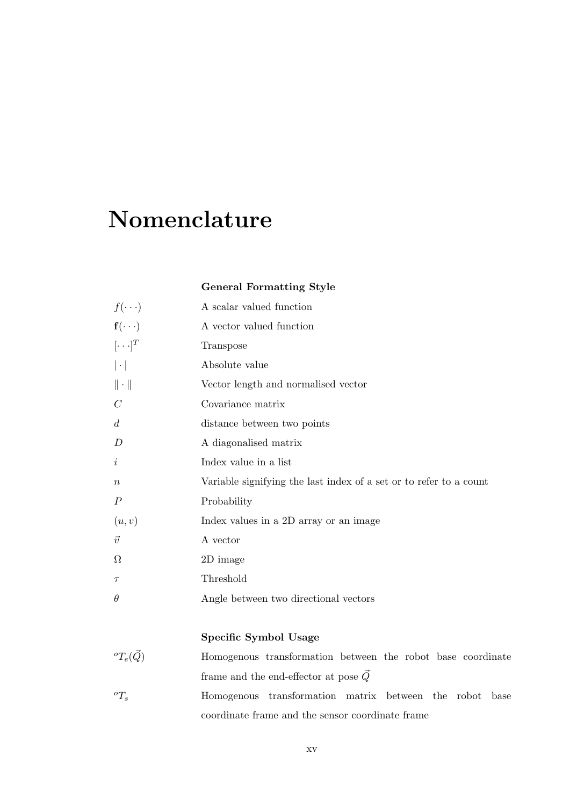### **Nomenclature**

#### **General Formatting Style**

| $f(\cdot\cdot\cdot)$          | A scalar valued function                                           |
|-------------------------------|--------------------------------------------------------------------|
| $\mathbf{f}(\cdot\cdot\cdot)$ | A vector valued function                                           |
| $[\cdot \cdot \cdot]^T$       | Transpose                                                          |
| $ \cdot $                     | Absolute value                                                     |
| $\ \cdot\ $                   | Vector length and normalised vector                                |
| $\mathcal C$                  | Covariance matrix                                                  |
| $\overline{d}$                | distance between two points                                        |
| D                             | A diagonalised matrix                                              |
| $\dot{\imath}$                | Index value in a list                                              |
| $\boldsymbol{n}$              | Variable signifying the last index of a set or to refer to a count |
| $\boldsymbol{P}$              | Probability                                                        |
| (u, v)                        | Index values in a 2D array or an image                             |
| $\vec{v}$                     | A vector                                                           |
| Ω                             | 2D image                                                           |
| $\tau$                        | Threshold                                                          |
| $\theta$                      | Angle between two directional vectors                              |
|                               |                                                                    |

#### **Specific Symbol Usage**

- ${}^{o}T_e(\vec{Q})$  Homogenous transformation between the robot base coordinate frame and the end-effector at pose  $\vec{Q}$
- ${}^{\circ}T_s$  Homogenous transformation matrix between the robot base coordinate frame and the sensor coordinate frame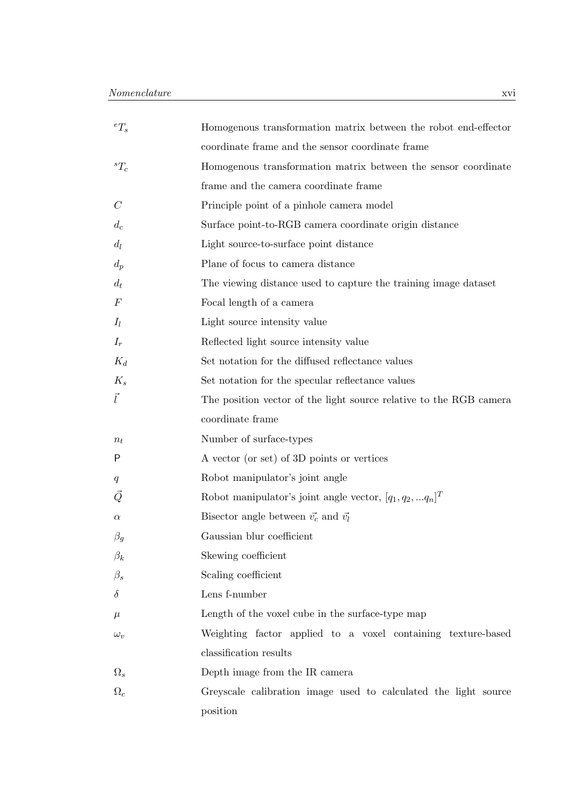| ${}^eT_s$    | Homogenous transformation matrix between the robot end-effector    |
|--------------|--------------------------------------------------------------------|
|              | coordinate frame and the sensor coordinate frame                   |
| ${}^{s}T_c$  | Homogenous transformation matrix between the sensor coordinate     |
|              | frame and the camera coordinate frame                              |
| $\mathcal C$ | Principle point of a pinhole camera model                          |
| $d_c$        | Surface point-to-RGB camera coordinate origin distance             |
| $d_l$        | Light source-to-surface point distance                             |
| $d_p$        | Plane of focus to camera distance                                  |
| $d_t$        | The viewing distance used to capture the training image dataset    |
| $\,F$        | Focal length of a camera                                           |
| $I_l$        | Light source intensity value                                       |
| $I_r$        | Reflected light source intensity value                             |
| $K_d$        | Set notation for the diffused reflectance values                   |
| $K_s$        | Set notation for the specular reflectance values                   |
| $\vec{l}$    | The position vector of the light source relative to the RGB camera |
|              | coordinate frame                                                   |
| $n_t$        | Number of surface-types                                            |
| P            | A vector (or set) of 3D points or vertices                         |
| q            | Robot manipulator's joint angle                                    |
| $\vec{Q}$    | Robot manipulator's joint angle vector, $[q_1, q_2,  q_n]^T$       |
| $\alpha$     | Bisector angle between $\vec{v_c}$ and $\vec{v_l}$                 |
| $\beta_g$    | Gaussian blur coefficient                                          |
| $\beta_k$    | Skewing coefficient                                                |
| $\beta_s$    | Scaling coefficient                                                |
| $\delta$     | Lens f-number                                                      |
| $\mu$        | Length of the voxel cube in the surface-type map                   |
| $\omega_v$   | Weighting factor applied to a voxel containing texture-based       |
|              | classification results                                             |
| $\Omega_s$   | Depth image from the IR camera                                     |
| $\Omega_c$   | Greyscale calibration image used to calculated the light source    |
|              | position                                                           |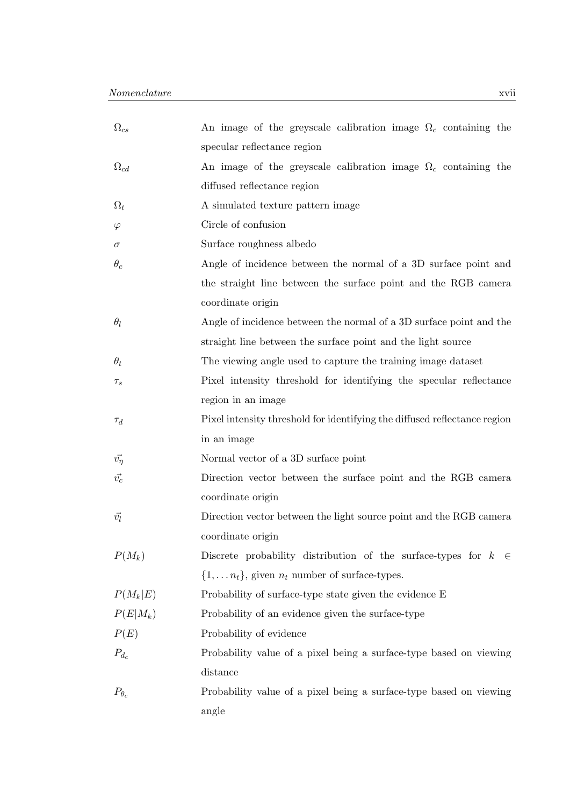| $\Omega_{cs}$    | An image of the greyscale calibration image $\Omega_c$ containing the        |
|------------------|------------------------------------------------------------------------------|
|                  | specular reflectance region                                                  |
| $\Omega_{cd}$    | An image of the greyscale calibration image $\Omega_c$ containing the        |
|                  | diffused reflectance region                                                  |
| $\Omega_t$       | A simulated texture pattern image                                            |
| $\varphi$        | Circle of confusion                                                          |
| $\sigma$         | Surface roughness albedo                                                     |
| $\theta_c$       | Angle of incidence between the normal of a 3D surface point and              |
|                  | the straight line between the surface point and the RGB camera               |
|                  | coordinate origin                                                            |
| $\theta_l$       | Angle of incidence between the normal of a 3D surface point and the          |
|                  | straight line between the surface point and the light source                 |
| $\theta_t$       | The viewing angle used to capture the training image dataset                 |
| $\tau_s$         | Pixel intensity threshold for identifying the specular reflectance           |
|                  | region in an image                                                           |
| $\tau_d$         | Pixel intensity threshold for identifying the diffused reflectance region    |
|                  | in an image                                                                  |
| $\vec{v_{\eta}}$ | Normal vector of a 3D surface point                                          |
| $\vec{v_c}$      | Direction vector between the surface point and the RGB camera                |
|                  | coordinate origin                                                            |
| $\vec{v_l}$      | Direction vector between the light source point and the RGB camera           |
|                  | coordinate origin                                                            |
| $P(M_k)$         | Discrete probability distribution of the surface-types for $k$<br>$\epsilon$ |
|                  | $\{1, \ldots n_t\}$ , given $n_t$ number of surface-types.                   |
| $P(M_k E)$       | Probability of surface-type state given the evidence E                       |
| $P(E M_k)$       | Probability of an evidence given the surface-type                            |
| P(E)             | Probability of evidence                                                      |
| $P_{d_c}$        | Probability value of a pixel being a surface-type based on viewing           |
|                  | distance                                                                     |
| $P_{\theta_c}$   | Probability value of a pixel being a surface-type based on viewing           |
|                  | angle                                                                        |
|                  |                                                                              |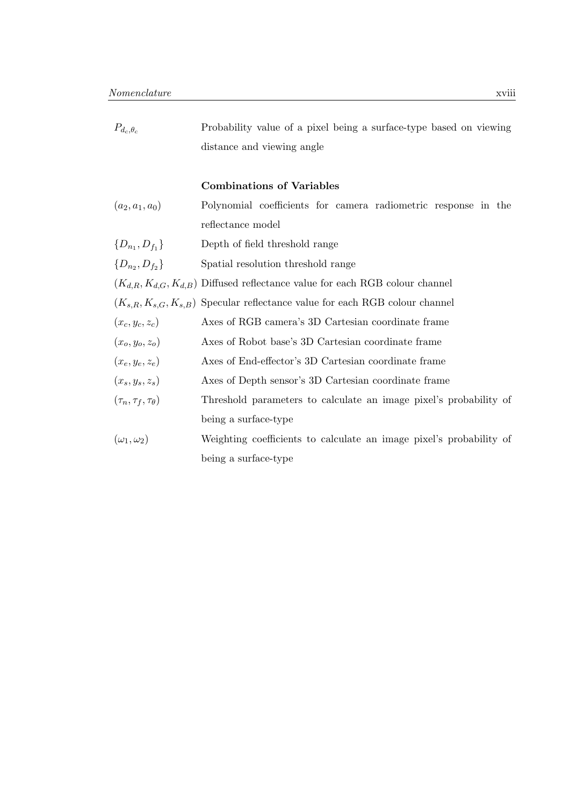| $P_{d_c, \theta_c}$             | Probability value of a pixel being a surface-type based on viewing                   |
|---------------------------------|--------------------------------------------------------------------------------------|
|                                 | distance and viewing angle                                                           |
|                                 | <b>Combinations of Variables</b>                                                     |
| $(a_2, a_1, a_0)$               | Polynomial coefficients for camera radiometric response in the                       |
|                                 | reflectance model                                                                    |
| $\{D_{n_1}, D_{f_1}\}\$         | Depth of field threshold range                                                       |
| $\{D_{n_2}, D_{f_2}\}\$         | Spatial resolution threshold range                                                   |
|                                 | $(K_{d,R}, K_{d,G}, K_{d,B})$ Diffused reflectance value for each RGB colour channel |
|                                 | $(K_{s,R}, K_{s,G}, K_{s,B})$ Specular reflectance value for each RGB colour channel |
| $(x_c, y_c, z_c)$               | Axes of RGB camera's 3D Cartesian coordinate frame                                   |
| $(x_o, y_o, z_o)$               | Axes of Robot base's 3D Cartesian coordinate frame                                   |
| $(x_e, y_e, z_e)$               | Axes of End-effector's 3D Cartesian coordinate frame                                 |
| $(x_s, y_s, z_s)$               | Axes of Depth sensor's 3D Cartesian coordinate frame                                 |
| $(\tau_n, \tau_f, \tau_\theta)$ | Threshold parameters to calculate an image pixel's probability of                    |
|                                 | being a surface-type                                                                 |
| $(\omega_1, \omega_2)$          | Weighting coefficients to calculate an image pixel's probability of                  |
|                                 | being a surface-type                                                                 |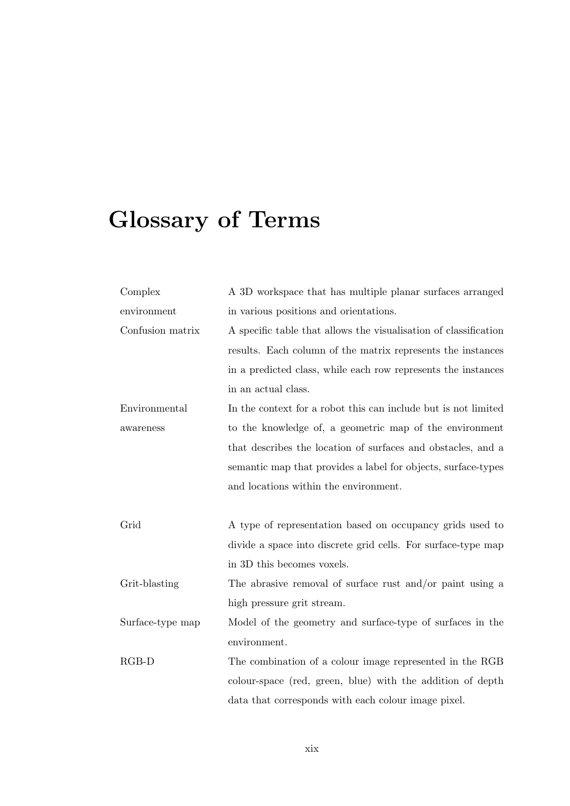# **Glossary of Terms**

| Complex          | A 3D workspace that has multiple planar surfaces arranged        |
|------------------|------------------------------------------------------------------|
| environment      | in various positions and orientations.                           |
| Confusion matrix | A specific table that allows the visualisation of classification |
|                  | results. Each column of the matrix represents the instances      |
|                  | in a predicted class, while each row represents the instances    |
|                  | in an actual class.                                              |
| Environmental    | In the context for a robot this can include but is not limited   |
| awareness        | to the knowledge of, a geometric map of the environment          |
|                  | that describes the location of surfaces and obstacles, and a     |
|                  | semantic map that provides a label for objects, surface-types    |
|                  | and locations within the environment.                            |
|                  |                                                                  |
| Grid             | A type of representation based on occupancy grids used to        |
|                  | divide a space into discrete grid cells. For surface-type map    |
|                  | in 3D this becomes voxels.                                       |
| Grit-blasting    | The abrasive removal of surface rust and/or paint using a        |
|                  | high pressure grit stream.                                       |
| Surface-type map | Model of the geometry and surface-type of surfaces in the        |
|                  | environment.                                                     |
| RGB-D            | The combination of a colour image represented in the RGB         |
|                  | colour-space (red, green, blue) with the addition of depth       |
|                  |                                                                  |
|                  | data that corresponds with each colour image pixel.              |